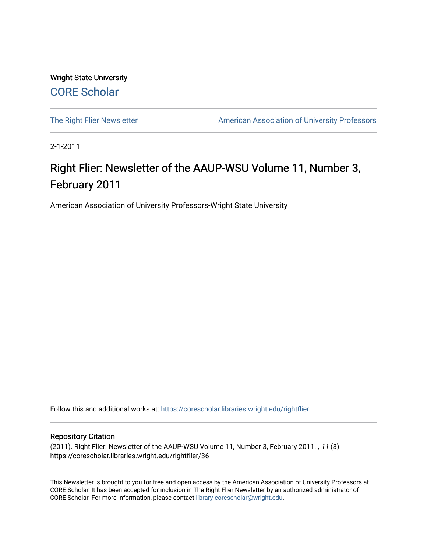Wright State University [CORE Scholar](https://corescholar.libraries.wright.edu/)

[The Right Flier Newsletter](https://corescholar.libraries.wright.edu/rightflier) **American Association of University Professors** 

2-1-2011

# Right Flier: Newsletter of the AAUP-WSU Volume 11, Number 3, February 2011

American Association of University Professors-Wright State University

Follow this and additional works at: [https://corescholar.libraries.wright.edu/rightflier](https://corescholar.libraries.wright.edu/rightflier?utm_source=corescholar.libraries.wright.edu%2Frightflier%2F36&utm_medium=PDF&utm_campaign=PDFCoverPages) 

#### Repository Citation

(2011). Right Flier: Newsletter of the AAUP-WSU Volume 11, Number 3, February 2011. , 11 (3). https://corescholar.libraries.wright.edu/rightflier/36

This Newsletter is brought to you for free and open access by the American Association of University Professors at CORE Scholar. It has been accepted for inclusion in The Right Flier Newsletter by an authorized administrator of CORE Scholar. For more information, please contact [library-corescholar@wright.edu](mailto:library-corescholar@wright.edu).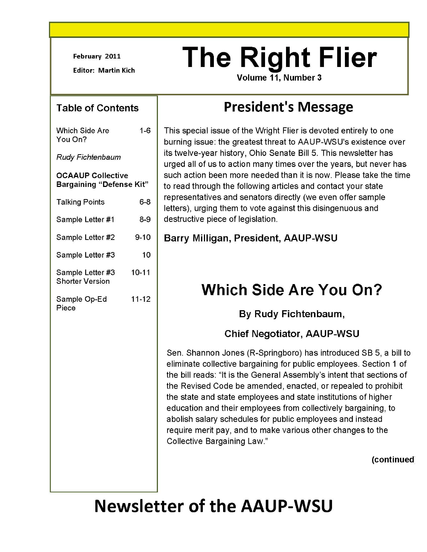February 2011

Editor: Martin Kich

#### Table of Contents

Which Side Are 1-6 You On?

Rudy Fichtenbaum

#### OCAAUP Collective Bargaining "Defense Kit"

| <b>Talking Points</b>                      | 6-8       |
|--------------------------------------------|-----------|
| Sample Letter #1                           | $8-9$     |
| Sample Letter #2                           | $9 - 10$  |
| Sample Letter #3                           | 10        |
| Sample Letter #3<br><b>Shorter Version</b> | 10-11     |
| Sample Op-Ed<br>Piece                      | $11 - 12$ |

# **The Right Flier**

Volume 11, Number3

# **President's Message**

This special issue of the Wright Flier is devoted entirely to one burning issue: the greatest threat to AAUP-WSU's existence over its twelve-year history, Ohio Senate Bill 5. This newsletter has urged all of us to action many times over the years, but never has such action been more needed than it is now. Please take the time to read through the following articles and contact your state representatives and senators directly (we even offer sample letters), urging them to vote against this disingenuous and destructive piece of legislation.

Barry Milligan, President, AAUP-WSU

# **Which Side Are You On?**

### By Rudy Fichtenbaum,

### Chief Negotiator, AAUP-WSU

Sen. Shannon Jones (R-Springboro) has introduced SB 5, a bill to eliminate collective bargaining for public employees. Section 1 of the bill reads: "It is the General Assembly's intent that sections of the Revised Code be amended, enacted, or repealed to prohibit the state and state employees and state institutions of higher education and their employees from collectively bargaining, to abolish salary schedules for public employees and instead require merit pay, and to make various other changes to the Collective Bargaining Law."

(continued

# **Newsletter of the AAUP-WSU**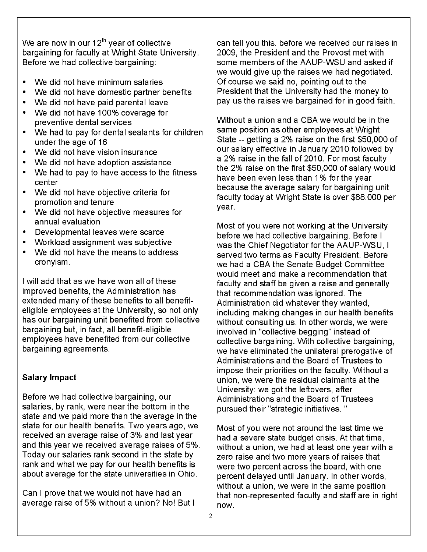We are now in our  $12^{th}$  year of collective bargaining for faculty at Wright State University. Before we had collective bargaining:

- We did not have minimum salaries
- We did not have domestic partner benefits
- We did not have paid parental leave
- We did not have 100% coverage for preventive dental services
- We had to pay for dental sealants for children under the age of 16
- We did not have vision insurance
- We did not have adoption assistance
- We had to pay to have access to the fitness center
- We did not have objective criteria for promotion and tenure
- We did not have objective measures for annual evaluation
- Developmental leaves were scarce
- Workload assignment was subjective
- We did not have the means to address cronyism.

I will add that as we have won all of these improved benefits, the Administration has extended many of these benefits to all benefiteligible employees at the University, so not only has our bargaining unit benefited from collective bargaining but, in fact, all benefit-eligible employees have benefited from our collective bargaining agreements.

#### **Salary Impact**

Before we had collective bargaining, our salaries, by rank, were near the bottom in the state and we paid more than the average in the state for our health benefits. Two years ago, we received an average raise of 3% and last year and this year we received average raises of 5%. Today our salaries rank second in the state by rank and what we pay for our health benefits is about average for the state universities in Ohio.

Can I prove that we would not have had an average raise of 5% without a union? No! But I can tell you this, before we received our raises in 2009, the President and the Provost met with some members of the AAUP-WSU and asked if we would give up the raises we had negotiated. Of course we said no, pointing out to the President that the University had the money to pay us the raises we bargained for in good faith.

Without a union and a CBA we would be in the same position as other employees at Wright State -- getting a 2% raise on the first \$50,000 of our salary effective in January 2010 followed by a 2% raise in the fall of 2010. For most faculty the 2% raise on the first \$50,000 of salary would have been even less than 1% for the year because the average salary for bargaining unit faculty today at Wright State is over \$88,000 per year.

Most of you were not working at the University before we had collective bargaining. Before I was the Chief Negotiator for the AAUP-WSU, I served two terms as Faculty President. Before we had a CBA the Senate Budget Committee would meet and make a recommendation that faculty and staff be given a raise and generally that recommendation was ignored. The Administration did whatever they wanted, including making changes in our health benefits without consulting us. In other words, we were involved in "collective begging" instead of collective bargaining. With collective bargaining, we have eliminated the unilateral prerogative of Administrations and the Board of Trustees to impose their priorities on the faculty. Without a union, we were the residual claimants at the University: we got the leftovers, after Administrations and the Board of Trustees pursued their "strategic initiatives. "

Most of you were not around the last time we had a severe state budget crisis. At that time, without a union, we had at least one year with a zero raise and two more years of raises that were two percent across the board, with one percent delayed until January. In other words, without a union, we were in the same position that non-represented faculty and staff are in right now.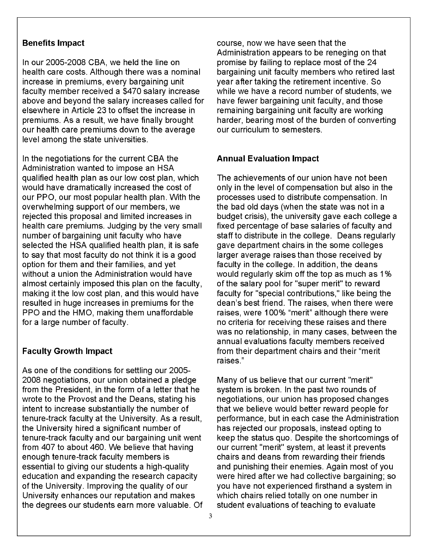#### **Benefits Impact**

In our 2005-2008 CBA, we held the line on health care costs. Although there was a nominal increase in premiums, every bargaining unit faculty member received a \$470 salary increase above and beyond the salary increases called for elsewhere in Article 23 to offset the increase in premiums. As a result, we have finally brought our health care premiums down to the average level among the state universities.

In the negotiations for the current CBA the Administration wanted to impose an HSA qualified health plan as our low cost plan, which would have dramatically increased the cost of our PPO, our most popular health plan. With the overwhelming support of our members, we rejected this proposal and limited increases in health care premiums. Judging by the very small number of bargaining unit faculty who have selected the HSA qualified health plan, it is safe to say that most faculty do not think it is a good option for them and their families, and yet without a union the Administration would have almost certainly imposed this plan on the faculty, making it the low cost plan, and this would have resulted in huge increases in premiums for the PPO and the HMO, making them unaffordable for a large number of faculty.

#### **Faculty Growth Impact**

As one of the conditions for settling our 2005 2008 negotiations, our union obtained a pledge from the President, in the form of a letter that he wrote to the Provost and the Deans, stating his intent to increase substantially the number of tenure-track faculty at the University. As a result, the University hired a significant number of tenure-track faculty and our bargaining unit went from 407 to about 460. We believe that having enough tenure-track faculty members is essential to giving our students a high-quality education and expanding the research capacity of the University. Improving the quality of our University enhances our reputation and makes the degrees our students earn more valuable. Of course, now we have seen that the Administration appears to be reneging on that promise by failing to replace most of the 24 bargaining unit faculty members who retired last year after taking the retirement incentive. So while we have a record number of students, we have fewer bargaining unit faculty, and those remaining bargaining unit faculty are working harder, bearing most of the burden of converting our curriculum to semesters.

#### **Annual Evaluation Impact**

The achievements of our union have not been only in the level of compensation but also in the processes used to distribute compensation. In the bad old days (when the state was not in a budget crisis), the university gave each college a fixed percentage of base salaries of faculty and staff to distribute in the college. Deans regularly gave department chairs in the some colleges larger average raises than those received by faculty in the college. In addition, the deans would regularly skim off the top as much as 1% of the salary pool for "super merit" to reward faculty for "special contributions," like being the dean's best friend. The raises, when there were raises, were 1 00% "merit" although there were no criteria for receiving these raises and there was no relationship, in many cases, between the annual evaluations faculty members received from their department chairs and their "merit raises."

Many of us believe that our current "merit" system is broken. In the past two rounds of negotiations, our union has proposed changes that we believe would better reward people for performance, but in each case the Administration has rejected our proposals, instead opting to keep the status quo. Despite the shortcomings of our current "merit" system, at least it prevents chairs and deans from rewarding their friends and punishing their enemies. Again most of you were hired after we had collective bargaining; so you have not experienced firsthand a system in which chairs relied totally on one number in student evaluations of teaching to evaluate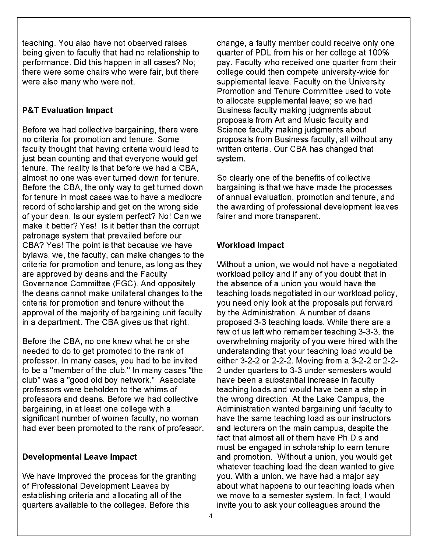teaching. You also have not observed raises being given to faculty that had no relationship to performance. Did this happen in all cases? No; there were some chairs who were fair, but there were also many who were not.

#### **P&T Evaluation Impact**

Before we had collective bargaining, there were no criteria for promotion and tenure. Some faculty thought that having criteria would lead to just bean counting and that everyone would get tenure. The reality is that before we had a CBA, almost no one was ever turned down for tenure. Before the CBA, the only way to get turned down for tenure in most cases was to have a mediocre record of scholarship and get on the wrong side of your dean. Is our system perfect? No! Can we make it better? Yes! Is it better than the corrupt patronage system that prevailed before our CBA? Yes! The point is that because we have bylaws, we, the faculty, can make changes to the criteria for promotion and tenure, as long as they are approved by deans and the Faculty Governance Committee (FGC). And oppositely the deans cannot make unilateral changes to the criteria for promotion and tenure without the approval of the majority of bargaining unit faculty in a department. The CBA gives us that right.

Before the CBA, no one knew what he or she needed to do to get promoted to the rank of professor. In many cases, you had to be invited to be a "member of the club." In many cases "the club" was a "good old boy network." Associate professors were beholden to the whims of professors and deans. Before we had collective bargaining, in at least one college with a significant number of women faculty, no woman had ever been promoted to the rank of professor.

#### **Developmental Leave Impact**

We have improved the process for the granting of Professional Development Leaves by establishing criteria and allocating all of the quarters available to the colleges. Before this

change, a faulty member could receive only one quarter of POL from his or her college at 1 00% pay. Faculty who received one quarter from their college could then compete university-wide for supplemental leave. Faculty on the University Promotion and Tenure Committee used to vote to allocate supplemental leave; so we had Business faculty making judgments about proposals from Art and Music faculty and Science faculty making judgments about proposals from Business faculty, all without any written criteria. Our CBA has changed that system.

So clearly one of the benefits of collective bargaining is that we have made the processes of annual evaluation, promotion and tenure, and the awarding of professional development leaves fairer and more transparent.

#### **Workload Impact**

Without a union, we would not have a negotiated workload policy and if any of you doubt that in the absence of a union you would have the teaching loads negotiated in our workload policy, you need only look at the proposals put forward by the Administration. A number of deans proposed 3-3 teaching loads. While there are a few of us left who remember teaching 3-3-3, the overwhelming majority of you were hired with the understanding that your teaching load would be either 3-2-2 or 2-2-2. Moving from a 3-2-2 or 2-2 2 under quarters to 3-3 under semesters would have been a substantial increase in faculty teaching loads and would have been a step in the wrong direction. At the Lake Campus, the Administration wanted bargaining unit faculty to have the same teaching load as our instructors and lecturers on the main campus, despite the fact that almost all of them have Ph.D.s and must be engaged in scholarship to earn tenure and promotion. Without a union, you would get whatever teaching load the dean wanted to give you. With a union, we have had a major say about what happens to our teaching loads when we move to a semester system. In fact, I would invite you to ask your colleagues around the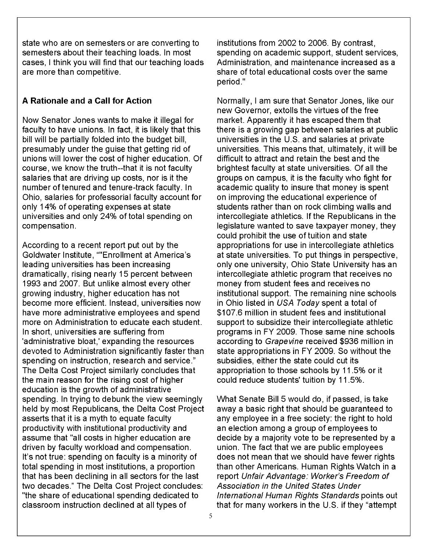state who are on semesters or are converting to semesters about their teaching loads. In most cases, I think you will find that our teaching loads are more than competitive.

#### **A Rationale and a Call for Action**

Now Senator Jones wants to make it illegal for faculty to have unions. In fact, it is likely that this bill will be partially folded into the budget bill, presumably under the guise that getting rid of unions will lower the cost of higher education. Of course, we know the truth--that it is not faculty salaries that are driving up costs, nor is it the number of tenured and tenure-track faculty. In Ohio, salaries for professorial faculty account for only 14% of operating expenses at state universities and only 24% of total spending on compensation.

According to a recent report put out by the Goldwater Institute, ""Enrollment at America's leading universities has been increasing dramatically, rising nearly 15 percent between 1993 and 2007. But unlike almost every other growing industry, higher education has not become more efficient. Instead, universities now have more administrative employees and spend more on Administration to educate each student. In short, universities are suffering from 'administrative bloat,' expanding the resources devoted to Administration significantly faster than spending on instruction, research and service." The Delta Cost Project similarly concludes that the main reason for the rising cost of higher education is the growth of administrative spending. In trying to debunk the view seemingly held by most Republicans, the Delta Cost Project asserts that it is a myth to equate faculty productivity with institutional productivity and assume that "all costs in higher education are driven by faculty workload and compensation. It's not true: spending on faculty is a minority of total spending in most institutions, a proportion that has been declining in all sectors for the last two decades." The Delta Cost Project concludes: "the share of educational spending dedicated to classroom instruction declined at all types of

institutions from 2002 to 2006. By contrast, spending on academic support, student services, Administration, and maintenance increased as a share of total educational costs over the same period."

Normally, I am sure that Senator Jones, like our new Governor, extolls the virtues of the free market. Apparently it has escaped them that there is a growing gap between salaries at public universities in the U.S. and salaries at private universities. This means that, ultimately, it will be difficult to attract and retain the best and the brightest faculty at state universities. Of all the groups on campus, it is the faculty who fight for academic quality to insure that money is spent on improving the educational experience of students rather than on rock climbing walls and intercollegiate athletics. If the Republicans in the legislature wanted to save taxpayer money, they could prohibit the use of tuition and state appropriations for use in intercollegiate athletics at state universities. To put things in perspective, only one university, Ohio State University has an intercollegiate athletic program that receives no money from student fees and receives no institutional support. The remaining nine schools in Ohio listed in USA Today spent a total of \$107.6 million in student fees and institutional support to subsidize their intercollegiate athletic programs in FY 2009. Those same nine schools according to Grapevine received \$936 million in state appropriations in FY 2009. So without the subsidies, either the state could cut its appropriation to those schools by 11 .5% or it could reduce students' tuition by 11.5%.

What Senate Bill 5 would do, if passed, is take away a basic right that should be guaranteed to any employee in a free society: the right to hold an election among a group of employees to decide by a majority vote to be represented by a union. The fact that we are public employees does not mean that we should have fewer rights than other Americans. Human Rights Watch in a report Unfair Advantage: Worker's Freedom of Association in the United States Under International Human Rights Standards points out that for many workers in the U.S. if they "attempt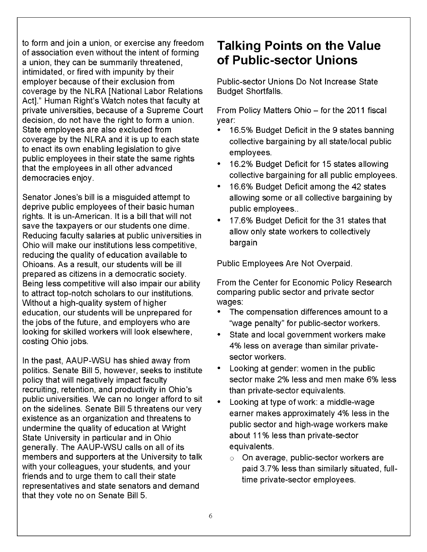to form and join a union, or exercise any freedom of association even without the intent of forming a union, they can be summarily threatened, intimidated, or fired with impunity by their employer because of their exclusion from coverage by the NLRA [National Labor Relations Act]." Human Right's Watch notes that faculty at private universities, because of a Supreme Court decision, do not have the right to form a union. State employees are also excluded from coverage by the NLRA and it is up to each state to enact its own enabling legislation to give public employees in their state the same rights that the employees in all other advanced democracies enjoy.

Senator Jones's bill is a misguided attempt to deprive public employees of their basic human rights. It is un-American. It is a bill that will not save the taxpayers or our students one dime. Reducing faculty salaries at public universities in Ohio will make our institutions less competitive, reducing the quality of education available to Ohioans. As a result, our students will be ill prepared as citizens in a democratic society. Being less competitive will also impair our ability to attract top-notch scholars to our institutions. Without a high-quality system of higher education, our students will be unprepared for the jobs of the future, and employers who are looking for skilled workers will look elsewhere, costing Ohio jobs.

In the past, AAUP-WSU has shied away from politics. Senate Bill 5, however, seeks to institute policy that will negatively impact faculty recruiting, retention, and productivity in Ohio's public universities. We can no longer afford to sit on the sidelines. Senate Bill 5 threatens our very existence as an organization and threatens to undermine the quality of education at Wright State University in particular and in Ohio generally. The AAUP-WSU calls on all of its members and supporters at the University to talk with your colleagues, your students, and your friends and to urge them to call their state representatives and state senators and demand that they vote no on Senate Bill 5.

# **Talking Points on the Value of Public-sector Unions**

Public-sector Unions Do Not Increase State Budget Shortfalls.

From Policy Matters Ohio- for the 2011 fiscal year:

- 16.5% Budget Deficit in the 9 states banning collective bargaining by all state/local public employees.
- 16.2% Budget Deficit for 15 states allowing collective bargaining for all public employees.
- 16.6% Budget Deficit among the 42 states allowing some or all collective bargaining by public employees..
- 17.6% Budget Deficit for the 31 states that allow only state workers to collectively bargain

Public Employees Are Not Overpaid.

From the Center for Economic Policy Research comparing public sector and private sector wages:

- The compensation differences amount to a "wage penalty" for public-sector workers.
- State and local government workers make 4% less on average than similar privatesector workers.
- Looking at gender: women in the public sector make 2% less and men make 6% less than private-sector equivalents.
- Looking at type of work: a middle-wage earner makes approximately 4% less in the public sector and high-wage workers make about 11% less than private-sector equivalents.
	- $\circ$  On average, public-sector workers are paid 3.7% less than similarly situated, fulltime private-sector employees.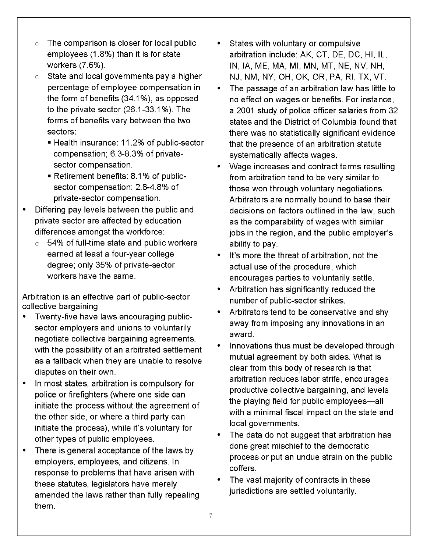- The comparison is closer for local public employees (1.8%) than it is for state workers (7.6%).
- $\circ$  State and local governments pay a higher percentage of employee compensation in the form of benefits (34.1 %), as opposed to the private sector (26.1-33.1 %). The forms of benefits vary between the two sectors:
	- Health insurance: 11.2% of public-sector compensation; 6.3-8.3% of privatesector compensation.
	- Retirement benefits: 8.1% of publicsector compensation; 2.8-4.8% of private-sector compensation.
- Differing pay levels between the public and private sector are affected by education differences amongst the workforce:
	- $\circ$  54% of full-time state and public workers earned at least a four-year college degree; only 35% of private-sector workers have the same.

Arbitration is an effective part of public-sector collective bargaining

- Twenty-five have laws encouraging publicsector employers and unions to voluntarily negotiate collective bargaining agreements, with the possibility of an arbitrated settlement as a fallback when they are unable to resolve disputes on their own.
- In most states, arbitration is compulsory for police or firefighters (where one side can initiate the process without the agreement of the other side, or where a third party can initiate the process), while it's voluntary for other types of public employees.
- There is general acceptance of the laws by employers, employees, and citizens. In response to problems that have arisen with these statutes, legislators have merely amended the laws rather than fully repealing them.
- States with voluntary or compulsive arbitration include: AK, CT, DE, DC, HI, IL, IN, lA, ME, MA, Ml, MN, MT, NE, NV, NH, NJ, NM, NY, OH, OK, OR, PA, Rl, TX, VT.
- The passage of an arbitration law has little to no effect on wages or benefits. For instance, a 2001 study of police officer salaries from 32 states and the District of Columbia found that there was no statistically significant evidence that the presence of an arbitration statute systematically affects wages.
- Wage increases and contract terms resulting from arbitration tend to be very similar to those won through voluntary negotiations. Arbitrators are normally bound to base their decisions on factors outlined in the law, such as the comparability of wages with similar jobs in the region, and the public employer's ability to pay.
- It's more the threat of arbitration, not the actual use of the procedure, which encourages parties to voluntarily settle.
- Arbitration has significantly reduced the number of public-sector strikes.
- Arbitrators tend to be conservative and shy away from imposing any innovations in an award.
- Innovations thus must be developed through mutual agreement by both sides. What is clear from this body of research is that arbitration reduces labor strife, encourages productive collective bargaining, and levels the playing field for public employees-all with a minimal fiscal impact on the state and local governments.
- The data do not suggest that arbitration has done great mischief to the democratic process or put an undue strain on the public coffers.
- The vast majority of contracts in these jurisdictions are settled voluntarily.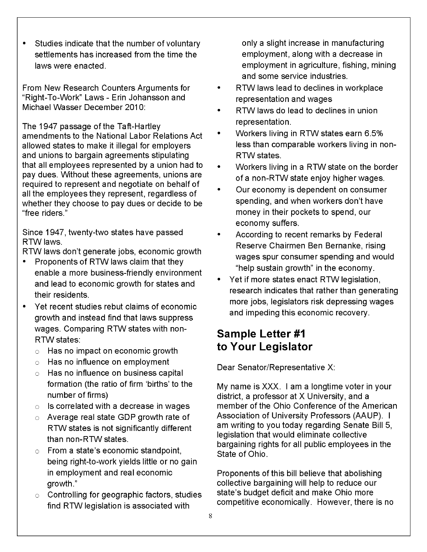• Studies indicate that the number of voluntary settlements has increased from the time the laws were enacted.

From New Research Counters Arguments for "Right-To-Work" Laws- Erin Johansson and Michael Wasser December 2010:

The 1947 passage of the Taft-Hartley amendments to the National Labor Relations Act allowed states to make it illegal for employers and unions to bargain agreements stipulating that all employees represented by a union had to pay dues. Without these agreements, unions are required to represent and negotiate on behalf of all the employees they represent, regardless of whether they choose to pay dues or decide to be "free riders."

Since 1947, twenty-two states have passed RTWiaws.

RTW laws don't generate jobs, economic growth

- Proponents of RTW laws claim that they enable a more business-friendly environment and lead to economic growth for states and their residents.
- Yet recent studies rebut claims of economic growth and instead find that laws suppress wages. Comparing RTW states with non-RTW states:
	- $\circ$  Has no impact on economic growth
	- $\circ$  Has no influence on employment
	- $\circ$  Has no influence on business capital formation (the ratio of firm 'births' to the number of firms)
	- $\circ$  Is correlated with a decrease in wages
	- $\circ$  Average real state GDP growth rate of RTW states is not significantly different than non-RTW states.
	- $\circ$  From a state's economic standpoint, being right-to-work yields little or no gain in employment and real economic growth."
	- $\circ$  Controlling for geographic factors, studies find RTW legislation is associated with

only a slight increase in manufacturing employment, along with a decrease in employment in agriculture, fishing, mining and some service industries.

- RTW laws lead to declines in workplace representation and wages
- RTW laws do lead to declines in union representation.
- Workers living in RTW states earn 6.5% less than comparable workers living in non-RTW states.
- Workers living in a RTW state on the border of a non-RTW state enjoy higher wages.
- Our economy is dependent on consumer spending, and when workers don't have money in their pockets to spend, our economy suffers.
- According to recent remarks by Federal Reserve Chairmen Ben Bernanke, rising wages spur consumer spending and would "help sustain growth" in the economy.
- Yet if more states enact RTW legislation, research indicates that rather than generating more jobs, legislators risk depressing wages and impeding this economic recovery.

# **Sample Letter #1 to Your Legislator**

Dear Senator/Representative X:

My name is XXX. I am a longtime voter in your district, a professor at X University, and a member of the Ohio Conference of the American Association of University Professors (AAUP). I am writing to you today regarding Senate Bill 5, legislation that would eliminate collective bargaining rights for all public employees in the State of Ohio.

Proponents of this bill believe that abolishing collective bargaining will help to reduce our state's budget deficit and make Ohio more competitive economically. However, there is no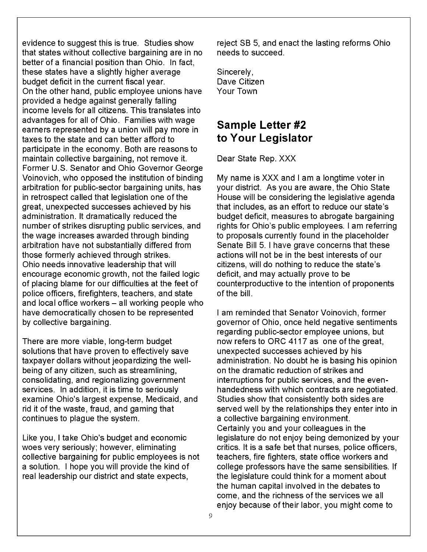evidence to suggest this is true. Studies show that states without collective bargaining are in no better of a financial position than Ohio. In fact, these states have a slightly higher average budget deficit in the current fiscal year. On the other hand, public employee unions have provided a hedge against generally falling income levels for all citizens. This translates into advantages for all of Ohio. Families with wage earners represented by a union will pay more in taxes to the state and can better afford to participate in the economy. Both are reasons to maintain collective bargaining, not remove it. Former U.S. Senator and Ohio Governor George Voinovich, who opposed the institution of binding arbitration for public-sector bargaining units, has in retrospect called that legislation one of the great, unexpected successes achieved by his administration. It dramatically reduced the number of strikes disrupting public services, and the wage increases awarded through binding arbitration have not substantially differed from those formerly achieved through strikes. Ohio needs innovative leadership that will encourage economic growth, not the failed logic of placing blame for our difficulties at the feet of police officers, firefighters, teachers, and state and local office workers - all working people who have democratically chosen to be represented by collective bargaining.

There are more viable, long-term budget solutions that have proven to effectively save taxpayer dollars without jeopardizing the wellbeing of any citizen, such as streamlining, consolidating, and regionalizing government services. In addition, it is time to seriously examine Ohio's largest expense, Medicaid, and rid it of the waste, fraud, and gaming that continues to plague the system.

Like you, I take Ohio's budget and economic woes very seriously; however, eliminating collective bargaining for public employees is not a solution. I hope you will provide the kind of real leadership our district and state expects,

reject SB 5, and enact the lasting reforms Ohio needs to succeed.

Sincerely, Dave Citizen Your Town

# **Sample Letter #2 to Your Legislator**

Dear State Rep. XXX

My name is XXX and I am a longtime voter in your district. As you are aware, the Ohio State House will be considering the legislative agenda that includes, as an effort to reduce our state's budget deficit, measures to abrogate bargaining rights for Ohio's public employees. I am referring to proposals currently found in the placeholder Senate Bill 5. I have grave concerns that these actions will not be in the best interests of our citizens, will do nothing to reduce the state's deficit, and may actually prove to be counterproductive to the intention of proponents of the bill.

I am reminded that Senator Voinovich, former governor of Ohio, once held negative sentiments regarding public-sector employee unions, but now refers to ORC 4117 as one of the great, unexpected successes achieved by his administration. No doubt he is basing his opinion on the dramatic reduction of strikes and interruptions for public services, and the evenhandedness with which contracts are negotiated. Studies show that consistently both sides are served well by the relationships they enter into in a collective bargaining environment. Certainly you and your colleagues in the legislature do not enjoy being demonized by your critics. It is a safe bet that nurses, police officers, teachers, fire fighters, state office workers and college professors have the same sensibilities. If the legislature could think for a moment about the human capital involved in the debates to come, and the richness of the services we all enjoy because of their labor, you might come to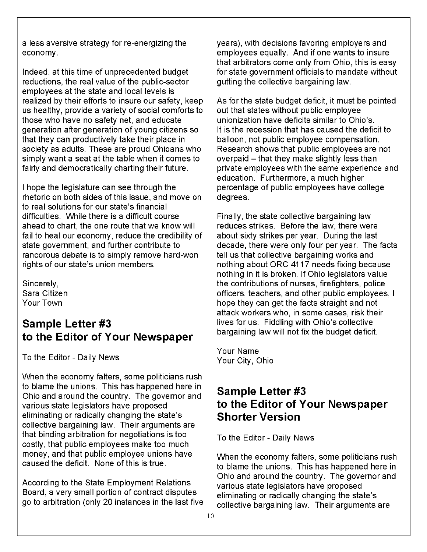a less aversive strategy for re-energizing the economy.

Indeed, at this time of unprecedented budget reductions, the real value of the public-sector employees at the state and local levels is realized by their efforts to insure our safety, keep us healthy, provide a variety of social comforts to those who have no safety net, and educate generation after generation of young citizens so that they can productively take their place in society as adults. These are proud Ohioans who simply want a seat at the table when it comes to fairly and democratically charting their future.

I hope the legislature can see through the rhetoric on both sides of this issue, and move on to real solutions for our state's financial difficulties. While there is a difficult course ahead to chart, the one route that we know will fail to heal our economy, reduce the credibility of state government, and further contribute to rancorous debate is to simply remove hard-won rights of our state's union members.

Sincerely, Sara Citizen Your Town

### **Sample Letter #3 to the Editor of Your Newspaper**

To the Editor- Daily News

When the economy falters, some politicians rush to blame the unions. This has happened here in Ohio and around the country. The governor and various state legislators have proposed eliminating or radically changing the state's collective bargaining law. Their arguments are that binding arbitration for negotiations is too costly, that public employees make too much money, and that public employee unions have caused the deficit. None of this is true.

According to the State Employment Relations Board, a very small portion of contract disputes go to arbitration (only 20 instances in the last five years), with decisions favoring employers and employees equally. And if one wants to insure that arbitrators come only from Ohio, this is easy for state government officials to mandate without gutting the collective bargaining law.

As for the state budget deficit, it must be pointed out that states without public employee unionization have deficits similar to Ohio's. It is the recession that has caused the deficit to balloon, not public employee compensation. Research shows that public employees are not overpaid  $-$  that they make slightly less than private employees with the same experience and education. Furthermore, a much higher percentage of public employees have college degrees.

Finally, the state collective bargaining law reduces strikes. Before the law, there were about sixty strikes per year. During the last decade, there were only four per year. The facts tell us that collective bargaining works and nothing about ORC 4117 needs fixing because nothing in it is broken. If Ohio legislators value the contributions of nurses, firefighters, police officers, teachers, and other public employees, I hope they can get the facts straight and not attack workers who, in some cases, risk their lives for us. Fiddling with Ohio's collective bargaining law will not fix the budget deficit.

Your Name Your City, Ohio

# **Sample Letter #3 to the Editor of Your Newspaper Shorter Version**

To the Editor- Daily News

When the economy falters, some politicians rush to blame the unions. This has happened here in Ohio and around the country. The governor and various state legislators have proposed eliminating or radically changing the state's collective bargaining law. Their arguments are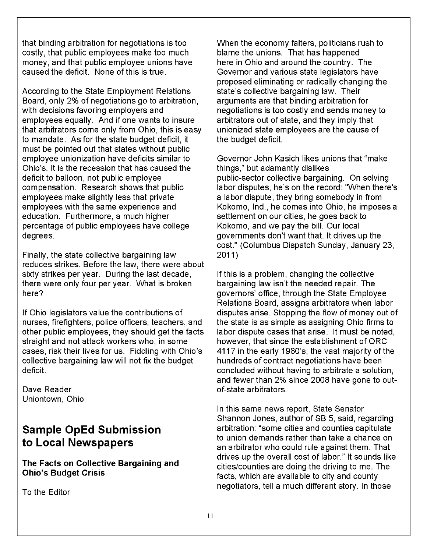that binding arbitration for negotiations is too costly, that public employees make too much money, and that public employee unions have caused the deficit. None of this is true.

According to the State Employment Relations Board, only 2% of negotiations go to arbitration, with decisions favoring employers and employees equally. And if one wants to insure that arbitrators come only from Ohio, this is easy to mandate. As for the state budget deficit, it must be pointed out that states without public employee unionization have deficits similar to Ohio's. It is the recession that has caused the deficit to balloon, not public employee compensation. Research shows that public employees make slightly less that private employees with the same experience and education. Furthermore, a much higher percentage of public employees have college degrees.

Finally, the state collective bargaining law reduces strikes. Before the law, there were about sixty strikes per year. During the last decade, there were only four per year. What is broken here?

If Ohio legislators value the contributions of nurses, firefighters, police officers, teachers, and other public employees, they should get the facts straight and not attack workers who, in some cases, risk their lives for us. Fiddling with Ohio's collective bargaining law will not fix the budget deficit.

Dave Reader Uniontown, Ohio

# **Sample OpEd Submission to Local Newspapers**

**The Facts on Collective Bargaining and Ohio's Budget Crisis** 

To the Editor

When the economy falters, politicians rush to blame the unions. That has happened here in Ohio and around the country. The Governor and various state legislators have proposed eliminating or radically changing the state's collective bargaining law. Their arguments are that binding arbitration for negotiations is too costly and sends money to arbitrators out of state, and they imply that unionized state employees are the cause of the budget deficit.

Governor John Kasich likes unions that "make things," but adamantly dislikes public-sector collective bargaining. On solving labor disputes, he's on the record: "When there's a labor dispute, they bring somebody in from Kokomo, Ind., he comes into Ohio, he imposes a settlement on our cities, he goes back to Kokomo, and we pay the bill. Our local governments don't want that. It drives up the cost." (Columbus Dispatch Sunday, January 23, 2011)

If this is a problem, changing the collective bargaining law isn't the needed repair. The governors' office, through the State Employee Relations Board, assigns arbitrators when labor disputes arise. Stopping the flow of money out of the state is as simple as assigning Ohio firms to labor dispute cases that arise. It must be noted, however, that since the establishment of ORC 4117 in the early 1980's, the vast majority of the hundreds of contract negotiations have been concluded without having to arbitrate a solution, and fewer than 2% since 2008 have gone to outof-state arbitrators.

In this same news report, State Senator Shannon Jones, author of SB 5, said, regarding arbitration: "some cities and counties capitulate to union demands rather than take a chance on an arbitrator who could rule against them. That drives up the overall cost of labor." It sounds like cities/counties are doing the driving to me. The facts, which are available to city and county negotiators, tell a much different story. In those